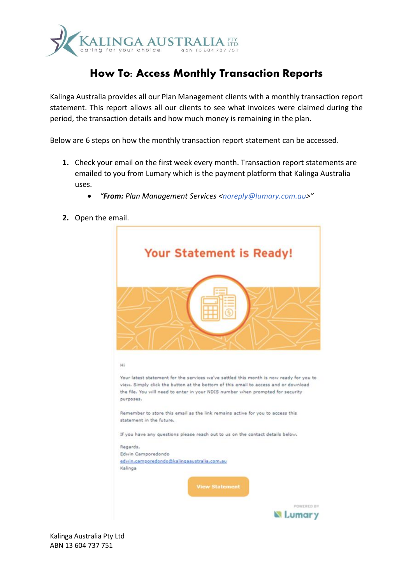

## **How To: Access Monthly Transaction Reports**

Kalinga Australia provides all our Plan Management clients with a monthly transaction report statement. This report allows all our clients to see what invoices were claimed during the period, the transaction details and how much money is remaining in the plan.

Below are 6 steps on how the monthly transaction report statement can be accessed.

- **1.** Check your email on the first week every month. Transaction report statements are emailed to you from Lumary which is the payment platform that Kalinga Australia uses.
	- *"From: Plan Management Services [<noreply@lumary.com.au>](mailto:noreply@lumary.com.au)"*
- **2.** Open the email.



Kalinga Australia Pty Ltd ABN 13 604 737 751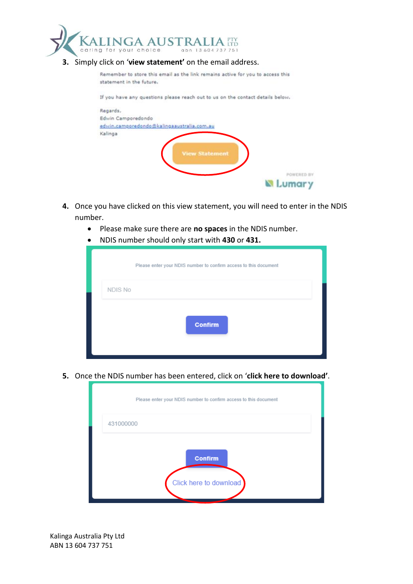

| Remember to store this email as the link remains active for you to access this<br>statement in the future. |
|------------------------------------------------------------------------------------------------------------|
|                                                                                                            |
| If you have any questions please reach out to us on the contact details below.                             |
| Regards,                                                                                                   |
| Edwin Camporedondo                                                                                         |
| edwin.camporedondo@kalingaaustralia.com.au                                                                 |
| Kalinga                                                                                                    |
|                                                                                                            |
| <b>View Statement</b>                                                                                      |
|                                                                                                            |
|                                                                                                            |
| POWERED BY                                                                                                 |
| mar y                                                                                                      |

- **4.** Once you have clicked on this view statement, you will need to enter in the NDIS number.
	- Please make sure there are **no spaces** in the NDIS number.
	- NDIS number should only start with **430** or **431.**

| Please enter your NDIS number to confirm access to this document |  |  |
|------------------------------------------------------------------|--|--|
| NDIS No                                                          |  |  |
| <b>Confirm</b>                                                   |  |  |

**5.** Once the NDIS number has been entered, click on '**click here to download'**.



Kalinga Australia Pty Ltd ABN 13 604 737 751